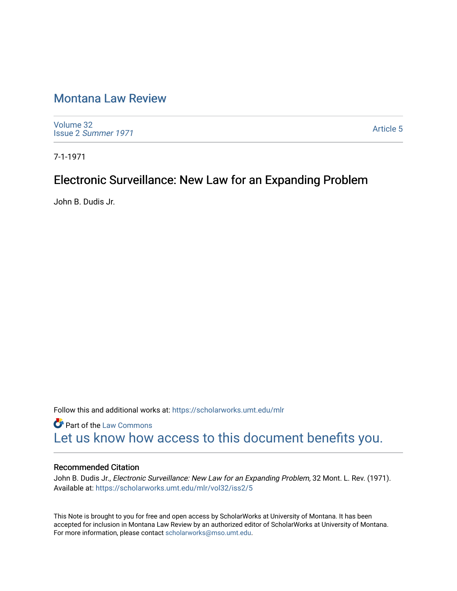## [Montana Law Review](https://scholarworks.umt.edu/mlr)

[Volume 32](https://scholarworks.umt.edu/mlr/vol32) Issue 2 [Summer 1971](https://scholarworks.umt.edu/mlr/vol32/iss2) 

[Article 5](https://scholarworks.umt.edu/mlr/vol32/iss2/5) 

7-1-1971

# Electronic Surveillance: New Law for an Expanding Problem

John B. Dudis Jr.

Follow this and additional works at: [https://scholarworks.umt.edu/mlr](https://scholarworks.umt.edu/mlr?utm_source=scholarworks.umt.edu%2Fmlr%2Fvol32%2Fiss2%2F5&utm_medium=PDF&utm_campaign=PDFCoverPages) 

**Part of the [Law Commons](http://network.bepress.com/hgg/discipline/578?utm_source=scholarworks.umt.edu%2Fmlr%2Fvol32%2Fiss2%2F5&utm_medium=PDF&utm_campaign=PDFCoverPages)** [Let us know how access to this document benefits you.](https://goo.gl/forms/s2rGfXOLzz71qgsB2) 

## Recommended Citation

John B. Dudis Jr., Electronic Surveillance: New Law for an Expanding Problem, 32 Mont. L. Rev. (1971). Available at: [https://scholarworks.umt.edu/mlr/vol32/iss2/5](https://scholarworks.umt.edu/mlr/vol32/iss2/5?utm_source=scholarworks.umt.edu%2Fmlr%2Fvol32%2Fiss2%2F5&utm_medium=PDF&utm_campaign=PDFCoverPages) 

This Note is brought to you for free and open access by ScholarWorks at University of Montana. It has been accepted for inclusion in Montana Law Review by an authorized editor of ScholarWorks at University of Montana. For more information, please contact [scholarworks@mso.umt.edu.](mailto:scholarworks@mso.umt.edu)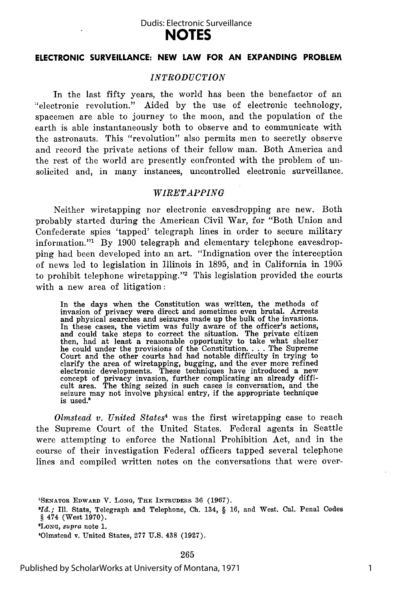#### **ELECTRONIC SURVEILLANCE: NEW LAW FOR AN EXPANDING PROBLEM**

#### *INTRODUCTION*

In the last fifty years, the world has been the benefactor of an "electronic revolution." Aided by the use of electronic technology, spacemen are able to journey to the moon, and the population of the earth is able instantaneously both to observe and to communicate with the astronauts. This "revolution" also permits men to secretly observe and record the private actions of their fellow man. Both America and the rest of the world are presently confronted with the problem of unsolicited and, in many instances, uncontrolled electronic surveillance.

#### *WIRETAPPING*

Neither wiretapping nor electronic eavesdropping are new. Both probably started during the American Civil War, for "Both Union and Confederate spies 'tapped' telegraph lines in order to secure military information."' By 1900 telegraph and elementary telephone eavesdropping had been developed into an art. "Indignation over the interception of news led to legislation in Illinois in 1895, and in California in 1905 to prohibit telephone wiretapping."2 This legislation provided the courts with a new area of litigation:

In the days when the Constitution was written, the methods of invasion of privacy were direct and sometimes even brutal. Arrests and physical searches and seizures made up the bulk of the invasions. In these cases, the victim was fully aware of the officer's actions, and could take steps to correct the situation. The private citizer<br>then, had at least a reasonable opportunity to take what shelter<br>he could under the provisions of the Constitution.... The Supreme<br>Court and the other cou electronic developments. These techniques have introduced a new concept of privacy invasion, further complicating an already difficult area. The thing seized in such cases is conversation, and the seizure may not involve physical entry, if the appropriate technique is used.'

*Olmstead v. United States4* was the first wiretapping case to reach the Supreme Court of the United States. Federal agents in Seattle were attempting to enforce the National Prohibition Act, and in the course of their investigation Federal officers tapped several telephone lines and compiled written notes on the conversations that were over-

'SENATOR EDWARD V. LONG, THE INTRUDERS 36 (1967).

*<sup>&#</sup>x27;Id.;* Ill. Stats, Telegraph and Telephone, **Ch.** 134, § **16,** and West. Cal. Penal Codes § 474 (West **1970).**

OLONG, *supra* note **1.**

<sup>&#</sup>x27;Olmstead v. United States, **277 U.S.** 438 **(1927).**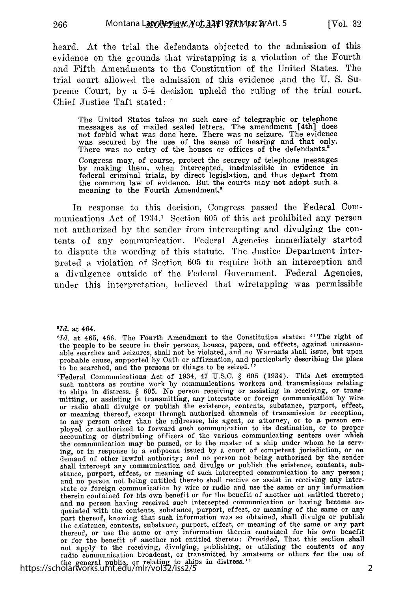heard. At the trial the defendants objected to the admission of this evidence on the grounds that wiretapping is a violation of the Fourth and Fifth Amendments to the Constitution of the United States. The trial court allowed the admission of this evidence ,and the U. S. Supreme Court, by a 5-4 decision upheld the ruling of the trial court. Chief Justice Taft stated:

The United States takes no such care of telegraphic or telephone messages as of mailed sealed letters. The amendment [4th] does not forbid what was done here. There was no seizure. The evidence was secured by the use of the sense of hearing and that only. There was no entry of the houses or offices of the defendants. Congress may, of course, protect the secrecy of telephone messages by making them, when intercepted, inadmissible in evidence in federal criminal trials, by direct legislation, and thus depart from the common law of evidence. But the courts may not adopt such a meaning to the Fourth Amendment.<sup>6</sup>

In response to this decision, Congress passed the Federal Communications Act of 1934.<sup>7</sup> Section 605 of this act prohibited any person not authorized by the sender from intercepting and divulging the contents of any communication. Federal Agencies immediately started to dispute the wording of this statute. The Justice Department interpreted a violation of Section 605 to require both an interception and a divulgence outside of the Federal Government. Federal Agencies, under this interpretation, believed that wiretapping was permissible

### *5 Id.* at 464.

*<sup>&#</sup>x27;Id.* at 465, 466. The Fourth Amendment to the Constitution states: ''The right of the people to be secure in their persons, houses, papers, and effects, against unreasonable searches and seizures, shall not be violated, and no Warrants shall issue, but upon probable cause, supported by Oath or affirmation, and particularly describing the place to be searched, and the persons or things to be seized.<br>'' $F_{\text{C}}$ 

Federal Communications Act of 1934, 47 U.S.C. § 605 (1934). This Act exempted such matters as routine work by communications workers and transmissions relating to ships in distress. § 605. No person receiving or assisting in receiving, or transmitting, or assisting in transmitting, any interstate or foreign communication by wire or radio shall divulge or publish the existence, contents, substance, purport, effect, or meaning thereof, except through authorized channels of transmission or reception, to any person other than the addressee, his agent, accounting or distributing officers of the various communicating centers over which the communication may be passed, or to the master of a ship under whom he is serving, or in response to a subpoena issued by a court of competent jurisdiction, or on demand of other lawful authority; and no person not being authorized by the sender shall intercept any communication and divulge or publish the existence, contents, substance, purport, effect, or meaning of such intercepted communication to any person; and no person not being entitled thereto shall receive or assist in receiving any interstate or foreign communication by wire or radio and use the same or any information therein contained for his own benefit or for the benefit of another not entitled thereto; and no person having received such intercepted communication or having become acquainted with the contents, substance, purport, effect, or meaning of the same or any part thereof, knowing that such information was so obtained, shall divulge or publish the existence, contents, substance, purport, effect, or meaning of the same or any part thereof, or use the same or any information therein contained for his own benefit or for the benefit of another not entitled thereto: *Provided,* That this section shall not apply to the receiving, divulging, publishing, or utilizing the contents of any radio communication broadcast, or transmitted by amateurs or others for the use of the general public, or relating to ships in distress.'' https://scholarworks.umt.edu/mlr/vol32/iss2/5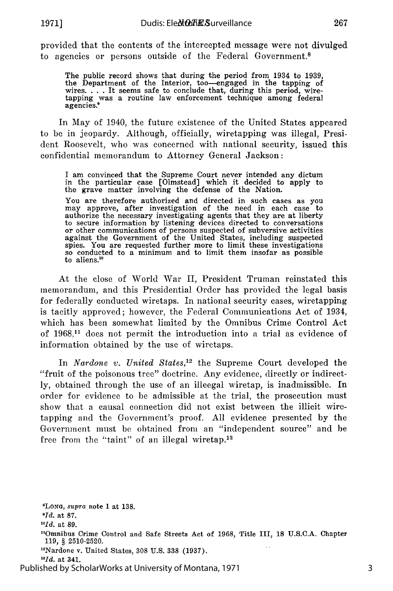provided that the contents of the intercepted message were not divulged to agencies or persons outside of the Federal Government.8

The public record shows that during the period from 1934 to 1939, the Department of the Interior, too-engaged in the tapping of wires **....** It seems safe to conclude that, during this period, wire-tapping was a routine law enforcement technique among federal agencies.'

In May of 1940, the future existence of the United States appeared to be in jeopardy. Although, officially, wiretapping was illegal, President Roosevelt, who was concerned with national security, issued this confidential memorandum to Attorney General Jackson:

I am convinced that the Supreme Court never intended any dictum in the particular case [Olmstead] which it decided to apply to the grave matter involving the defense of the Nation.

You are therefore authorized and directed in such cases as you may approve, after investigation of the need in each case to authorize the necessary investigating agents that they are at liberty to secure information by listening devices directed to conversations or other communications of persons suspected of subversive activities against the Government of the United States, including suspected spies. You are requested further more to limit these investigations so conducted to a minimum and to limit them insofar as possible so conducted to a minimum and to limit them insofar as possible to aliens.<sup>10</sup>

At the close of World War II, President Truman reinstated this memorandum, and this Presidential Order has provided the legal basis for federally conducted wiretaps. In national security cases, wiretapping is tacitly approved; however, the Federal Communications Act of 1934, which has been somewhat limited by the Omnibus Crime Control Act of 1968,1 does not permit the introduction into a trial as evidence of information obtained by the use of wiretaps.

In *Nardone v. United States*,<sup>12</sup> the Supreme Court developed the "fruit of the poisonous tree" doctrine. Any evidence, directly or indirectly, obtained through the use of an illeegal wiretap, is inadmissible. In order for evidence to be admissible at the trial, the prosecution must show that a causal connection did not exist between the illicit wiretapping and the Government's proof. All evidence presented by the Government must be obtained from an "independent source" and be free from the "taint" of an illegal wiretap.<sup>13</sup>

8 LONG, *supra* note 1 at 138.

"Omnibus Crime Control and Safe Streets Act of 1968, Title III, 18 U.S.C.A. Chapter 119, § 2510-2520.

"Nardone v. United States, 308 U.S. 338 (1937).

*lId.* at 341.

Published by ScholarWorks at University of Montana, 1971

*Old.* at 87.

*<sup>&#</sup>x27;OId.* at 89.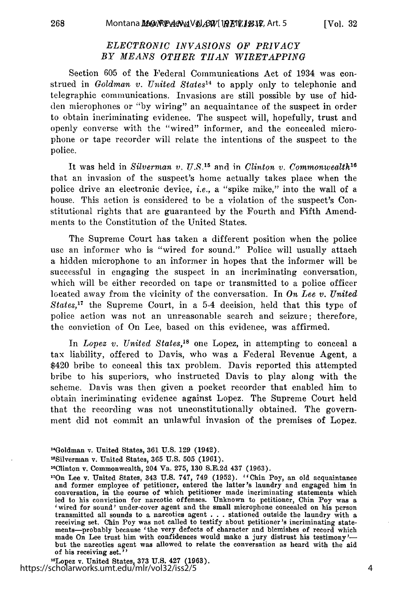[Vol. **32**

## *ELECTRONIC INVASIONS OF PRIVACY BY MEANS OTHER THAN WIRETAPPING*

Section 605 of the Federal Communications Act of 1934 was construed in *Goldman v. United States14* to apply only to telephonic and telegraphic communications. Invasions are still possible by use of hidden microphones or "by wiring" an acquaintance of the suspect in order to obtain incriminating evidence. The suspect will, hopefully, trust and openly converse with the "wired" informer, and the concealed microphone or tape recorder will relate the intentions of the suspect to the police.

It was held in *Silverman v, U.S <sup>15</sup>*and in *Clinton v. Commonwealth'6* that an invasion of the suspect's home actually takes place when the police drive an electronic device, *i.e.,* a "spike mike," into the wall of a house. This action is considered to be a violation of the suspect's Constitutional rights that are guaranteed by the Fourth and Fifth Amendments to the Constitution of the United States.

The Supreme Court has taken a different position when the police use an informer who is "wired for sound." Police will usually attach a hidden microphone to an informer in hopes that the informer will be successful in engaging the suspect in an incriminating conversation, which will be either recorded on tape or transmitted to a police officer located away from the vicinity of the conversation. In *On Lee v. United States,17* the Supreme Court, in a 5-4 decision, held that this type of police action was not an unreasonable search and seizure; therefore, the conviction of On Lee, based on this evidence, was affirmed.

In *Lopez v. United States*,<sup>18</sup> one Lopez, in attempting to conceal a tax liability, offered to Davis, who was a Federal Revenue Agent, a \$420 bribe to conceal this tax problem. Davis reported this attempted bribe to his superiors, who instructed Davis to play along with the scheme. Davis was then given a pocket recorder that enabled him to obtain incriminating evidence against Lopez. The Supreme Court held that the recording was not unconstitutionally obtained. The government did not commit an unlawful invasion of the premises of Lopez.

<sup>&</sup>quot;'Goldman v. United States, **361 U.S. 129** (1942).

<sup>&#</sup>x27;5Silverman v. United States, **365 U.S. 505 (1961).**

<sup>&</sup>quot;Clinton v. Commonwealth, 204 Va. **275, 130 S.E.2d** 437 **(1963).**

**<sup>&</sup>quot;7On** Lee v. United States, 343 **U.S. 747,** 749 **(1952).** 'Chin Poy, an old acquaintance and former employee of petitioner, entered the latter's laundry and engaged him in conversation, in the course of which petitioner made incriminating statements which led to his conviction for narcotic offenses. Unknown to petitioner, Chin Poy was a 'wired for sound' under-cover agent and the small microphone concealed on his person transmitted all sounds to a narcotics agent **. ..** stationed outside the laundry with a receiving set. Chin Poy was not called to testify about petitioner's incriminating statements-probably because 'the very defects of character and blemishes of record which made On Lee trust him with confidences would make a jury distrust his testimony'but the narcotics agent was allowed to relate the conversation as heard with the aid of his receiving set."

<sup>&</sup>quot;'Lopez v. United States, **373 U.S.** 427 **(1963).** https://scholarworks.umt.edu/mlr/vol32/iss2/5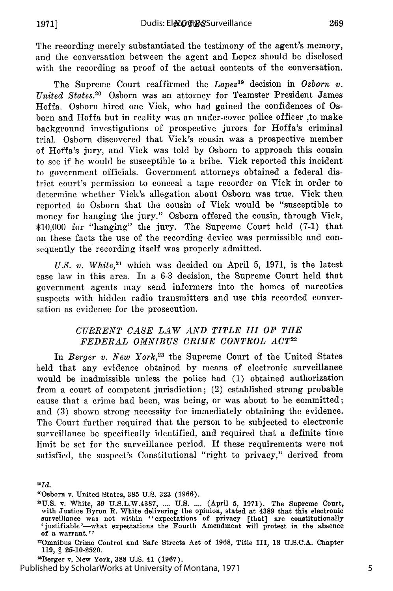The recording merely substantiated the testimony of the agent's memory, and the conversation between the agent and Lopez should be disclosed with the recording as proof of the actual contents of the conversation.

The Supreme Court reaffirmed the *Lopez19* decision in *Osborn v. United States.2 0* Osborn was an attorney for Teamster President James Hoffa. Osborn hired one Vick, who had gained the confidences of Osborn and Hoffa but in reality was an under-cover police officer ,to make background investigations of prospective jurors for Hoffa's criminal trial. Osborn discovered that Vick's cousin was a prospective member of Hoffa's jury, and Vick was told by Osborn to approach this cousin to see if he would be susceptible to a bribe. Vick reported this incident to government officials. Government attorneys obtained a federal district court's permission to conceal a tape recorder on Vick in order to determine whether Vick's allegation about Osborn was true. Vick then reported to Osborn that the cousin of Vick would be "susceptible to money for hanging the jury." Osborn offered the cousin, through Vick, \$10,000 for "hanging" the jury. The Supreme Court held (7-1) that on these facts the use of the recording device was permissible and consequently the recording itself was properly admitted.

U.S. v. White, $21$  which was decided on April 5, 1971, is the latest case law in this area. In a 6-3 decision, the Supreme Court held that government agents may send informers into the homes of narcotics suspects with hidden radio transmitters and use this recorded conversation as evidence for the prosecution.

## *CURRENT CASE LAW AND TITLE III OF THE FEDERAL OMNIBUS CRIME CONTROL ACT<sup>22</sup>*

In *Berger v. New York,23* the Supreme Court of the United States held that any evidence obtained by means of electronic surveillance would be inadmissible unless the police had (1) obtained authorization from a court of competent jurisdiction; (2) established strong probable cause that a crime had been, was being, or was about to be committed; and (3) shown strong necessity for immediately obtaining the evidence. The Court further required that the person to be subjected to electronic surveillance be specifically identified, and required that a definite time limit be set for the surveillance period. If these requirements were not satisfied, the suspect's Constitutional "right to privacy," derived from

*1 <sup>9</sup> d.*

'Osborn v. United States, 385 U.S. 323 (1966).

'Berger v. New York, 388 U.S. 41 (1967).

Published by ScholarWorks at University of Montana, 1971

269

<sup>&</sup>lt;sup>1</sup>U.S. v. White, 39 U.S.L.W.4387, .... U.S. .... (April 5, 1971). The Supreme Court with Justice Byron R. White delivering the opinion, stated at 4389 that this electronic surveillance was not within "expectations of privacy [that] are constitutionally<br>
'justifiable'—what expectations the Fourth Amendment will protect in the absence of a warrant."

<sup>&#</sup>x27;Omnibus Crime Control and Safe Streets Act of 1968, Title 11, 18 U.S.C.A. Chapter 119, § 25-10-2520.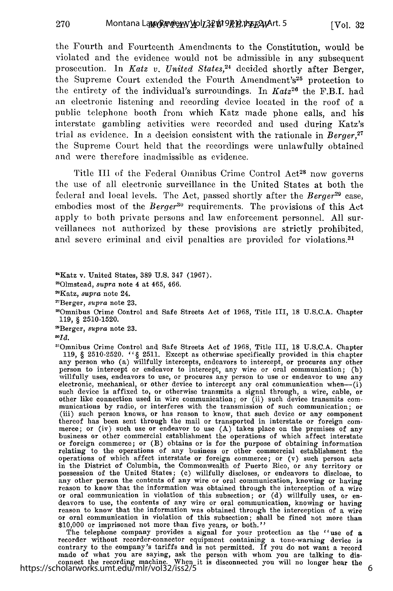the Fourth and Fourteenth Amendments to the Constitution, would be violated and the evidence would not be admissible in any subsequent prosecution. In *Katz v. United States*,<sup>24</sup> decided shortly after Berger, the Supreme Court extended the Fourth Amendment's<sup>25</sup> protection to the entirety of the individual's surroundings. In *Katz26* the F.B.I. had an electronic listening and recording device located in the roof of a public telephone booth from which Katz made phone calls, and his interstate gambling activities were recorded and used during Katz's trial as evidence. In a decision consistent with the rationale in *Berger,27* the Supreme Court held that the recordings were unlawfully obtained and were therefore inadmissible as evidence.

Title III of the Federal Omnibus Crime Control Act<sup>28</sup> now governs the use of all electronic surveillance in the United States at both the federal and local levels. The Act, passed shortly after the *Berger29* case, embodies most of the *Berger30* requirements. The provisions of this Act apply to both private persons and law enforcement personnel. All surveillances not authorized by these provisions are strictly prohibited, and severe criminal and civil penalties are provided for violations.<sup>31</sup>

24Katz v. United States, 389 U.S. 347 (1967).

nOlmstead, *supra* note 4 at 465, 466.

"Katz, *supra* note 24.

'Berger, *supra* note 23.

2Omnibus Crime Control and Safe Streets Act of 1968, Title III, 18 U.S.C.A. Chapter 119, § 2510-1520.

'Berger, *supra* note 23.

*sId.*

270

3Omnibus Crime Control and Safe Streets Act of 1968, Title III, 18 U.S.C.A. Chapter ommous Grime Control and Sate Streets Act of 1905, 11de 111, 15 0.S.C.A. Chapter<br>119, § 2510-2520. *''*§ 2511. Except as otherwise specifically provided in this chapter<br>any person who (a) willfully intercepts, endeavors to person to intercept or endeavor to intercept, any wire or oral communication; (b) willfully uses, endeavors to use, or procures any person to use or endeavor to use any electronic, mechanical, or other device to intercept any oral communication when-(i) such device is affixed to, or otherwise transmits a signal through, a wire, cable, or other like connection used in wire communication; or (ii) such device transmits communications by radio, or interferes with the transmis (iii) such person knows, or has reason to know, that such device or any component thereof has been sent through the mail or transported in interstate or foreign combusiness or other commercial establishment the operations of which affect interstate or foreign commerce; or (B) obtains or is for the purpose of obtaining information relating to the operations of any business or other commercial establishment the operations of which affect interstate or foreign commerce; or (v) such person acts in the District of Columbia, the Commonwealth of Puerto Rico, or any territory or possession of the United States; (c) willfully discloses, or endeavors to disclose, to any other person the contents of any wire or oral communication, knowing or having<br>reason to know that the information was obtained through the interception of a wire<br>or oral communication in violation of this subsection; For order communication in violation of this subsection; or (d) willfully uses, or en-<br>deavors to use, the contents of any wire or oral communication, knowing or having<br>reason to know that the information was obtained thro \$10,000 or imprisoned not more than five years, or both."

The telephone company provides a signal for your protection as the "use of a recorder without recorder-connector equipment containing a tone-warning device is contrary to the company's tariffs and is not permitted. If you do not want a record made of what you are saying, ask the person with whom you are talking to disconnect the recording machine. When it is disconnected you will no longer hear the https://scholarworks.umt.edu/mlr/vol32/iss2/5

6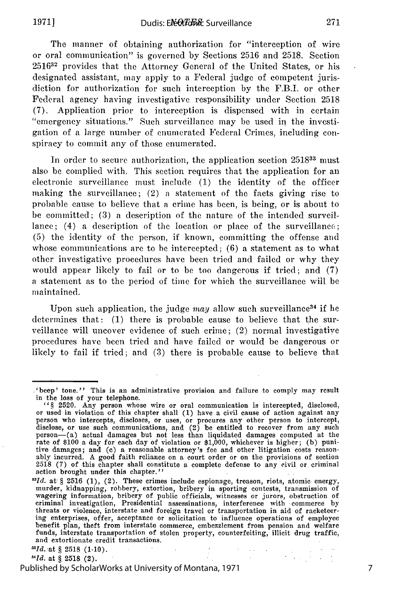The manner of obtaining authorization for "interception of wire or oral communication" is governed by Sections 2516 and 2518. Section 251632 provides that the Attorney General of the United States, or his designated assistant, may apply to a Federal judge of competent jurisdiction for authorization for such interception by the F.B.I. or other Federal agency having investigative responsibility under Section 2518 (7). Application prior to interception is dispensed with in certain "emergency situations." Such surveillance may be used in the investigation of a large number of enumerated Federal Crimes, including conspiracy to commit any of those enumerated.

In order to secure authorization, the application section 2518<sup>33</sup> must also be complied with. This section requires that the application for an electronic surveillance must include (1) the identity of the officer making the surveillance; (2) a statement of the facts giving rise to probable cause to believe that a crime has been, is being, or is about to be committed; (3) a description of the nature of the intended surveillance; (4) a description of the location or place of the surveillanco; (5) the identity of the person, if known, committing the offense and whose communications are to be intercepted; (6) a statement as to what other investigative procedures have been tried and failed or why they would appear likely to fail or to be too dangerous if tried; and (7) a statement as to the period of time for which the surveillance will be maintained.

Upon such application, the judge may allow such surveillance<sup>34</sup> if he determines that: (1) there is probable cause to believe that the surveillance will uncover evidence of such crime; (2) normal investigative procedures have been tried and have failed or would be dangerous or likely to fail if tried; and (3) there is probable cause to believe that

<sup>34</sup>*Id.* at § 2518 (2).

<sup>&#</sup>x27;beep' tone." This is an administrative provision and failure to comply may result

in the loss of your telephone. *"§* 2520. Any person whose wire or oral communication is intercepted, disclosed, or used in violation of this chapter shall (1) have a civil cause of action against any person who intercepts, discloses, or uses, or procures any other person to intercept disclose, or use such communications, and (2) be entitled to recover from any such person—(a) actual damages but not less than liquidated damages computed at the rate of \$100 a day for each day of violation or \$1,000, whichever is higher; (b) puni-<br>tive damages; and (c) a reasonable attorney's fee and other litigation costs reason-<br>ably incurred. A good faith reliance on a court or 2518 (7) of this chapter shall constitute a complete defense to any civil or criminal action brought under this chapter."

<sup>&</sup>lt;sup>22</sup>Id. at § 2516 (1), (2). These crimes include espionage, treason, riots, atomic energy, murder, kidnapping, robbery, extortion, bribery in sporting contests, transmission of wagering information, bribery of public officials, witnesses or jurors, obstruction of criminal investigation, Presidential assessinations, interference with -commerce by threats or violence, interstate and foreign travel or transportation in aid of racketeering enterprises, offer, acceptance or solicitation to influence operations of employee benefit plan, theft from interstate commerce, embezzlement from pension and welfare funds, interstate transportation of stolen property, counterfeiting, illicit drug traffic, and extortionate credit transactions.<br><sup>22</sup>*Id.* at § 2518 (1-10).

Published by ScholarWorks at University of Montana, 1971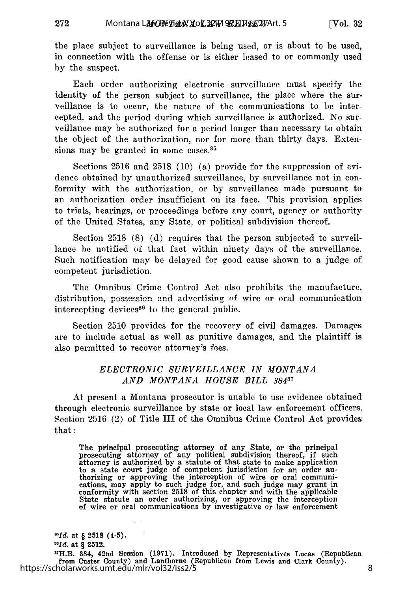8

the place subject to surveillance is being used, or is about to be used, in connection with the offense or is either leased to or commonly used by the suspect.

Each order authorizing electronic surveillance must specify the identity of the person subject to surveillance, the place where the surveillance is to occur, the nature of the communications to be intercepted, and the period during which surveillance is authorized. No surveillance may be authorized for a period longer than necessary to obtain the object of the authorization, nor for more than thirty days. Extensions may be granted in some cases.<sup>35</sup>

Sections 2516 and 2518 (10) (a) provide for the suppression of evidence obtained by unauthorized surveillance, by surveillance not in conformity with the authorization, or by surveillance made pursuant to an authorization order insufficient on its face. This provision applies to trials, hearings, or proceedings before any court, agency or authority of the United States, any State, or political subdivision thereof.

Section 2518 (8) (d) requires that the person subjected to surveillance be notified of that fact within ninety days of the surveillance. Such notification may be delayed for good cause shown to a judge of competent jurisdiction.

The Omnibus Crime Control Act also prohibits the manufacture, distribution, possession and advertising of wire or oral communication intercepting devices<sup>36</sup> to the general public.

Section 2510 provides for the recovery of civil damages. Damages are to include actual as well as punitive damages, and the plaintiff is also permitted to recover attorney's fees.

#### *ELECTRONIC SURVEILLANCE IN MONTANA AND MONTANA HOUSE BILL 3843T*

At present a Montana prosecutor is unable to use evidence obtained through electronic surveillance by state or local law enforcement officers. Section 2516 (2) of Title III of the Omnibus Crime Control Act provides that:

The principal prosecuting attorney of any State, or the principal prosecuting attorney of any political subdivision thereof, if such attorney is authorized by a statute of that state to make application<br>to a state court judge of competent jurisdiction for an order authorizing or approving the interception of wire or oral communi-<br>cations, may apply to s conformity with section 2518 of this chapter and with the applicable State statute an order authorizing, or approving the interception of wire or oral communications by investigative or law enforcement

*"Id.* at **§ 2518** (4-5). *-Id.* at **§ 2512.**

87H.B. 384, 42nd Session **(1971).** Introduced **by** Representatives Lucas (Republican from Custer County) and Lanthorne (Republican from Lewis and Clark County). https://scholarworks.umt.edu/mlr/vol32/iss2/5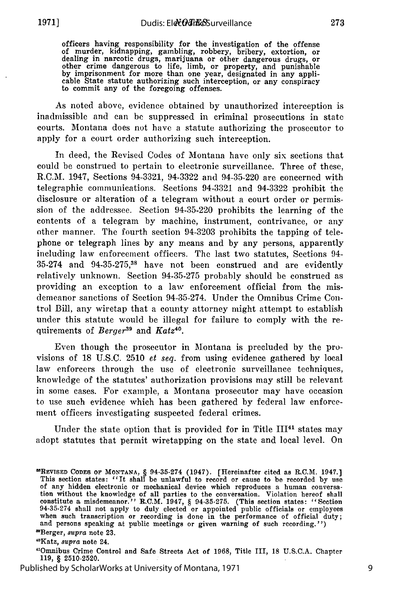officers having responsibility for the investigation of the offense<br>of murder, kidnapping, gambling, robbery, bribery, extortion, or<br>dealing in narcotic drugs, marijuana or other dangerous drugs, on<br>other crime dangerous t

As noted above, evidence obtained by unauthorized interception is inadmissible and can be suppressed in criminal prosecutions in state courts. Montana does not have a statute authorizing the prosecutor to apply for a court order authorizing such interception.

In deed, the Revised Codes of Montana have only six sections that could be construed to pertain to electronic surveillance. Three of these, R.C.M. 1947, Sections 94-3321, 94-3322 and 94-35-220 are concerned with telegraphic communications. Sections 94-3321 and 94-3322 prohibit the disclosure or alteration of a telegram without a court order or permission of the addressee. Section 94-35-220 prohibits the learning of the contents of a telegram by machine, instrument, contrivance, or any other manner. The fourth section 94-3203 prohibits the tapping of telephone or telegraph lines by any means and by any persons, apparently including law enforcement officers. The last two statutes, Sections 94- 35-274 and 94-35-275,<sup>38</sup> have not been construed and are evidently relatively unknown. Section 94-35-275 probably should be construed as providing an exception to a law enforcement official from the misdemeanor sanctions of Section 94-35-274. Under the Omnibus Crime Control Bill, any wiretap that a county attorney might attempt to establish under this statute would be illegal for failure to comply with the requirements of *Berger39* and *Katz40 .*

Even though the prosecutor in Montana is precluded by the provisions of 18 U.S.C. 2510 *et seq.* from using evidence gathered by local law enforcers through the use of electronic surveillance techniques, knowledge of the statutes' authorization provisions may still be relevant in some cases. For example, a Montana prosecutor may have occasion to use such evidence which has been gathered by federal law enforcement officers investigating suspected federal crimes.

Under the state option that is provided for in Title III<sup>41</sup> states may adopt statutes that permit wiretapping on the state and local level. On

273

**<sup>8</sup>**<br>**18 REVISED CODES OF MONTANA, 8, 94.35.974** (1947). [Hereinafter cited as R.C.M. 1947] This section states: "It shall be unlawful to record or cause to be recorded by use<br>of any hidden electronic or mechanical device which reproduces a human conversa-<br>tion without the knowledge of all parties to the conversa constitute a misdemeanor." R.C.M. 1947, § 94-35-275. (This section states: "Section 94-35-274 shall not apply to duly elected or appointed public officials or employees when such transcription or recording is done **in** the performance of official duty; and persons speaking at public meetings or given warning of such recording.") 'Berger, *supra* note 23.

<sup>&#</sup>x27;Katz, *supra* note 24.

<sup>&</sup>quot;Omnibus Crime Control and Safe Streets Act of 1968, Title III, 18 U.S.C.A. Chapter **119, §** 2510-2520.

Published by ScholarWorks at University of Montana, 1971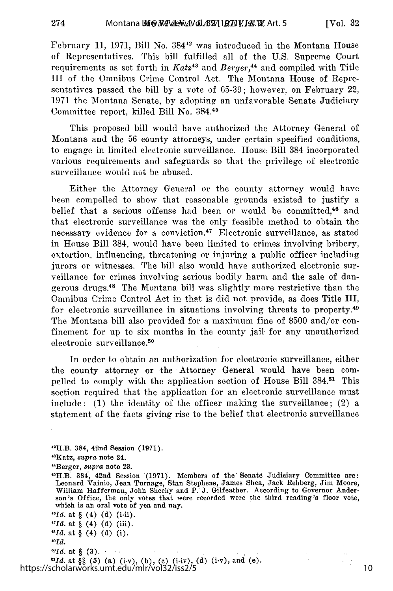February 11, 1971, Bill No. 384<sup>42</sup> was introduced in the Montana House of Representatives. This bill fulfilled all of the U.S. Supreme Court requirements as set forth in *Katz43* and *Berger,4 4* and compiled with Title III of the Omnibus Crime Control Act. The Montana House of Representatives passed the bill by a vote of 65-39; however, on February 22, 1971 the Montana Senate, by adopting an unfavorable Senate Judiciary Committee report, killed Bill No. 384.45

This proposed bill would have authorized the Attorney General of Montana and the 56 county attorneys, under certain specified conditions, to engage in limited electronic surveillance. House Bill 384 incorporated various requirements and safeguards so that the privilege of electronic surveillance would not be abused.

Either the Attorney General or the county attorney would have been compelled to show that reasonable grounds existed to justify a belief that a serious offense had been or would be committed,<sup>46</sup> and that electronic surveillance was the only feasible method to obtain the necessary evidence for a conviction.<sup>47</sup> Electronic surveillance, as stated in House Bill 384, would have been limited to crimes involving bribery, extortion, influencing, threatening or injuring a public officer including jurors or witnesses. The bill also would have authorized electronic surveillance for crimes involving serious bodily harm and the sale of dangerous drugs.<sup>48</sup> The Montana bill was slightly more restrictive than the Omnibus Crime Control Act in that is did not provide, as does Title III, for electronic surveillance in situations involving threats to property.49 The Montana bill also provided for a maximum fine of \$500 and/or confinement for up to six months in the county jail for any unauthorized electronic surveillance.<sup>50</sup>

In order to obtain an authorization for electronic surveillance, either the county attorney or the Attorney General would have been compelled to comply with the application section of House Bill 384.<sup>51</sup> This section required that the application for an electronic surveillance must include: (1) the identity of the officer making the surveillance; (2) a statement of the facts giving rise to the belief that electronic surveillance

*19Id.* **at § (3).**

*"Id.* **at** §§ **(5) (a)** (i-v), **(b), (c)** (i-iv), **(d)** (i-v), and (e). https://scholarworks.umt.edu/mlr/vol32/iss2/5

k.

**<sup>2</sup>IH.B.** 384, 42nd Session **(1971).**

**<sup>&#</sup>x27;"Katz,** *supra* **note 24.** 4Berger, *supra* **note 23.**

**<sup>&#</sup>x27; 5 H.B.** 384, 42nd Session **(1971).** Members of the' Senate Judiciary Committee are: Leonard Vainio, Jean Turnage, Stan Stephens, James Shea, Jack Rehberg, **Jim** Moore, William Hafferman, **John** Sheehy and **P. J.** Gilfeather. According to Governor Ander- son *'s* Office, the only votes that were recorded were the third reading's floor vote, son's Office, the only votes that were recorded were the third reading's floor vote, which is an oral vote of yea and nay.

*<sup>&#</sup>x27;Id.* at § **(4) (d)** (i-ii).

*<sup>&</sup>quot;Id.* at § (4) **(d)** (iii). *1id.* at § (4) **(d)** (i).

*<sup>&#</sup>x27;Ord.*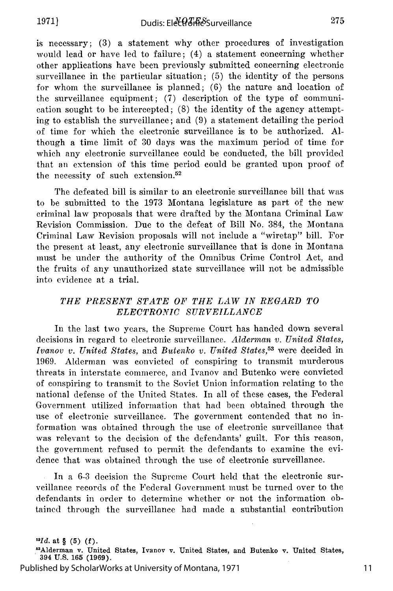is necessary; (3) a statement why other procedures of investigation would lead or have led to failure; (4) a statement concerning whether other applications have been previously submitted concerning electronic surveillance in the particular situation; (5) the identity of the persons for whom the surveillance is planned; (6) the nature and location of the surveillance equipment; (7) description of the type of communication sought to be intercepted; (8) the identity of the agency attempting to establish the surveillance; and (9) a statement detailing the period of time for which the electronic surveillance is to be authorized. Although a time limit of 30 days was the maximum period of time for which any electronic surveillance could be conducted, the bill provided that an extension of this time period could be granted upon proof of the necessity of such extension.<sup>52</sup>

The defeated bill is similar to an electronic surveillance bill that was to be submitted to the 1973 Montana legislature as part of the new criminal law proposals that were drafted by the Montana Criminal Law Revision Commission. Due to the defeat of Bill No. 384, the Montana Criminal Law Revision proposals will not include a "wiretap" bill. For the present at least, any electronic surveillance that is done in Montana must be under the authority of the Omnibus Crime Control Act, and the fruits of any unauthorized state surveillance will not be admissible into evidence at a trial.

## *THE PRESENT STATE OF THE LAW IN REGARD TO ELECTRONIC SURVEILLANCE*

In the last two years, the Supreme Court has handed down several decisions in regard to electronic surveillance. *Alderman v. United States, Ivanov v. United States,* and *Butenko v. United States,53* were decided in 1969. Alderman was convicted of conspiring to transmit murderous threats in interstate commerce, and Ivanov and Butenko were convicted of conspiring to transmit to the Soviet Union information relating to the national defense of the United States. In all of these cases, the Federal Government utilized information that had been obtained through the use of electronic surveillance. The government contended that no information was obtained through the use of electronic surveillance that was relevant to the decision of the defendants' guilt. For this reason, the government refused to permit the defendants to examine the evidence that was obtained through the use of electronic surveillance.

In a 6-3 decision the Supreme Court held that the electronic surveillance records of the Federal Government must be turned over to the defendants in order to determine whether or not the information obtained through the surveillance had made a substantial contribution

 $^{52}Id.$  at § (5) (f).

<sup>&</sup>quot;Alderman v. United States, Ivanov v. United States, and Butenko v. United States, **394 U.S. 165 (1969).**

Published by ScholarWorks at University of Montana, 1971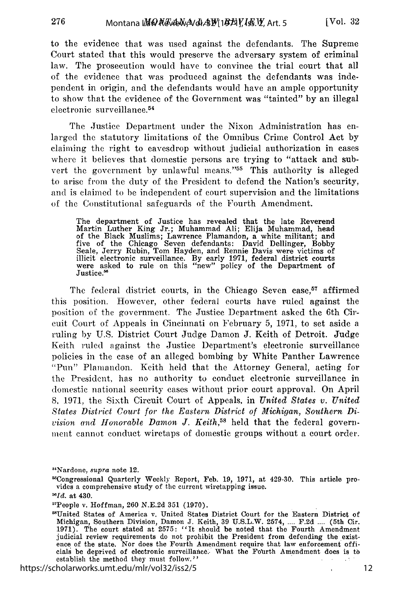to the evidence that was used against the defendants. The Supreme Court stated that this would preserve the adversary system of criminal law. The prosecution would have to convince the trial court that all of the evidence that was produced against the defendants was independent in origin, and the defendants would have an ample opportunity to show that the evidence of the Government was "tainted" by an illegal electronic surveillance.<sup>54</sup>

The Justice Department under the Nixon Administration has enlarged the statutory limitations of the Omnibus Crime Control Act by claiming the right to eavesdrop without judicial authorization in cases where it believes that domestic persons are trying to "attack and subvert the government by unlawful means."<sup>55</sup> This authority is alleged to arise from the duty of the President to defend the Nation's security, and is claimed to be independent of court supervision and the limitations of the Constitutional safeguards of the Fourth Amendment.

The department of Justice has revealed that the late Reverend Martin Luther King Jr.; Muhammad Ali; Elija Muhammad, head of the Black Muslims; Lawrence Plamandon, a white militant; and five of the Chicago Seven defendants: David Dellinger, Bobby Seale, Jerry Rubin, Tom Hayden, and Rennie Davis were victims of illicit electronic surveillance. By early 1971, federal district courts were asked to rule on this "new" policy of the Department of Justice.<sup>56</sup>

The federal district courts, in the Chicago Seven case,<sup>57</sup> affirmed this position. However, other federal courts have ruled against the position of the government. The Justice Department asked the 6th Circuit Court of Appeals in Cincinnati on February 5, 1971, to set aside a ruling by U.S. District Court Judge Damon J. Keith of Detroit. Judge Keith ruled against the Justice Department's electronic surveillance policies in the case of an alleged bombing by White Panther Lawrence "Pun" Plamandon. Keith held that the Attorney General, acting for the President, has no authority to conduct electronic surveillance in domestic national security cases without prior court approval. On April 8. 1971, the Sixth Circuit Court of Appeals, in *United States v. United States District Court for the Eastern District of Michigan, Southern Division and Honorable Damon J. Keith*,<sup>58</sup> held that the federal government cannot conduct wiretaps of domestic groups without a court order.

276

https://scholarworks.umt.edu/mlr/vol32/iss2/5

INardone, *supra* note 12.

<sup>5</sup>Congressional Quarterly Weekly Report, Feb. 19, 1971, at 429-30. This article pro- vides a comprehensive study of the current wiretapping issue.

*MId.* at 430.

<sup>&</sup>lt;sup>57</sup>People v. Hoffman, 260 N.E.2d 351 (1970).

<sup>&</sup>lt;sup>39</sup>United States of America v. United States District Court for the Eastern District of Michigan, Southern Division, Damon J. Keith, 39 U.S.L.W. 2574, .... F.2d .... (5th Cir. 1971). The court stated at 2575: "It should b judicial review requirements do not prohibit the President from defending the existence of the state. Nor does the Fourth Amendment require that law enforcement officials be deprived of electronic surveillance. What the Fourth Amendment does is to establish the method they must follow."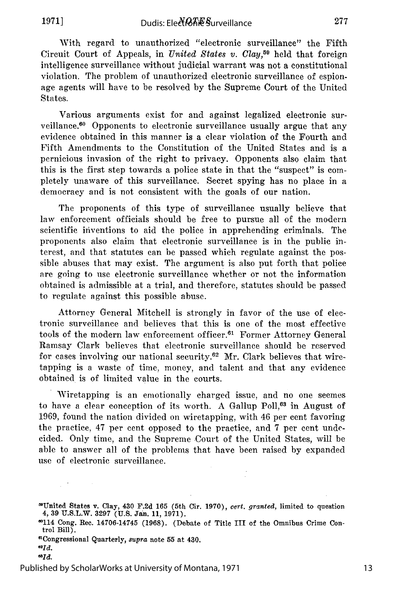With regard to unauthorized "electronic surveillance" the Fifth Circuit Court of Appeals, in *United States v. Clay,59* held that foreign intelligence surveillance without judicial warrant was not a constitutional violation. The problem of unauthorized electronic surveillance of espionage agents will have to be resolved by the Supreme Court of the United States.

Various arguments exist for and against legalized electronic surveillance.60 Opponents to electronic surveillance usually argue that any evidence obtained in this manner is a clear violation of the Fourth and Fifth Amendments to the Constitution of the United States and is a pernicious invasion of the right to privacy. Opponents also claim that this is the first step towards a police state in that the "suspect" is completely unaware of this surveillance. Secret spying has no place in a democracy and is not consistent with the goals of our nation.

The proponents of this type of surveillance usually believe that law enforcement officials should be free to pursue all of the modern scientific inventions to aid the police in apprehending criminals. The proponents also claim that electronic surveillance is in the public interest, and that statutes can be passed which regulate against the possible abuses that may exist. The argument is also put forth that police are going to use electronic surveillance whether or not the information obtained is admissible at a trial, and therefore, statutes should be passed to regulate against this possible abuse.

Attorney General Mitchell is strongly in favor of the use of electronic surveillance and believes that this is one of the most effective tools of the modern law enforcement officer.<sup>61</sup> Former Attorney General Ramsay Clark believes that electronic surveillance should be reserved for cases involving our national security.<sup>62</sup> Mr. Clark believes that wiretapping is a waste of time, money, and talent and that any evidence obtained is of limited value in the courts.

Wiretapping is an emotionally charged issue, and no one seemes to have a clear conception of its worth. A Gallup Poll,<sup>63</sup> in August of 1969, found the nation divided on wiretapping, with 46 per cent favoring the practice, 47 per cent opposed to the practice, and 7 per cent undecided. Only time, and the Supreme Court of the United States, will be able to answer all of the problems that have been raised by expanded use of electronic surveillance.

<sup>&</sup>quot;United **States v. Clay, 430 F.2d 165 (5th** Cir. **1970), cert.** granted, limited to question 4, **39** U.S.L.W. **3297 (U.S.** Jan. **11, 1971).**

<sup>1114</sup> Cong. Ree. 14706-14745 **(1968).** (Debate of Title III of **the** Omnibus Crime Control Bill).

OCongressional Quarterly, supra note **55** at 430.

*<sup>62</sup> 1d. <sup>6</sup> 31d.*